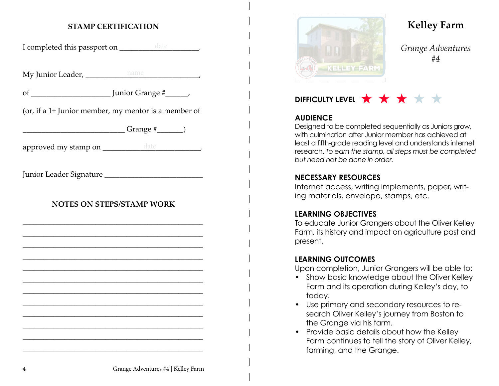## **STAMP CERTIFICATION**

I completed this passport on \_\_\_\_\_\_\_\_\_\_\_\_\_\_\_\_\_\_\_\_\_\_\_.

My Junior Leader, \_\_\_\_\_\_\_\_\_\_\_\_\_\_\_\_\_\_\_\_\_\_\_\_\_\_\_\_\_\_, name

of \_\_\_\_\_\_\_\_\_\_\_\_\_\_\_\_\_\_\_\_\_ Junior Grange #\_\_\_\_\_\_,

(or, if a 1+ Junior member, my mentor is a member of

 $Grange \#$  )

approved my stamp on \_\_\_\_\_\_\_\_\_\_\_\_\_\_\_\_\_\_\_\_\_\_\_\_\_\_\_\_\_\_\_\_\_\_.

Junior Leader Signature

## **NOTES ON STEPS/STAMP WORK**

\_\_\_\_\_\_\_\_\_\_\_\_\_\_\_\_\_\_\_\_\_\_\_\_\_\_\_\_\_\_\_\_\_\_\_\_\_\_\_\_\_\_\_\_\_\_\_\_\_\_\_\_ \_\_\_\_\_\_\_\_\_\_\_\_\_\_\_\_\_\_\_\_\_\_\_\_\_\_\_\_\_\_\_\_\_\_\_\_\_\_\_\_\_\_\_\_\_\_\_\_\_\_\_\_ \_\_\_\_\_\_\_\_\_\_\_\_\_\_\_\_\_\_\_\_\_\_\_\_\_\_\_\_\_\_\_\_\_\_\_\_\_\_\_\_\_\_\_\_\_\_\_\_\_\_\_\_ \_\_\_\_\_\_\_\_\_\_\_\_\_\_\_\_\_\_\_\_\_\_\_\_\_\_\_\_\_\_\_\_\_\_\_\_\_\_\_\_\_\_\_\_\_\_\_\_\_\_\_\_ \_\_\_\_\_\_\_\_\_\_\_\_\_\_\_\_\_\_\_\_\_\_\_\_\_\_\_\_\_\_\_\_\_\_\_\_\_\_\_\_\_\_\_\_\_\_\_\_\_\_\_\_ \_\_\_\_\_\_\_\_\_\_\_\_\_\_\_\_\_\_\_\_\_\_\_\_\_\_\_\_\_\_\_\_\_\_\_\_\_\_\_\_\_\_\_\_\_\_\_\_\_\_\_\_ \_\_\_\_\_\_\_\_\_\_\_\_\_\_\_\_\_\_\_\_\_\_\_\_\_\_\_\_\_\_\_\_\_\_\_\_\_\_\_\_\_\_\_\_\_\_\_\_\_\_\_\_ \_\_\_\_\_\_\_\_\_\_\_\_\_\_\_\_\_\_\_\_\_\_\_\_\_\_\_\_\_\_\_\_\_\_\_\_\_\_\_\_\_\_\_\_\_\_\_\_\_\_\_\_ \_\_\_\_\_\_\_\_\_\_\_\_\_\_\_\_\_\_\_\_\_\_\_\_\_\_\_\_\_\_\_\_\_\_\_\_\_\_\_\_\_\_\_\_\_\_\_\_\_\_\_\_ \_\_\_\_\_\_\_\_\_\_\_\_\_\_\_\_\_\_\_\_\_\_\_\_\_\_\_\_\_\_\_\_\_\_\_\_\_\_\_\_\_\_\_\_\_\_\_\_\_\_\_\_ \_\_\_\_\_\_\_\_\_\_\_\_\_\_\_\_\_\_\_\_\_\_\_\_\_\_\_\_\_\_\_\_\_\_\_\_\_\_\_\_\_\_\_\_\_\_\_\_\_\_\_\_ \_\_\_\_\_\_\_\_\_\_\_\_\_\_\_\_\_\_\_\_\_\_\_\_\_\_\_\_\_\_\_\_\_\_\_\_\_\_\_\_\_\_\_\_\_\_\_\_\_\_\_\_



# **Kelley Farm**

*Grange Adventures #4*

## **DIFFICULTY LEVEL**  $\star$   $\star$   $\star$   $\star$

## **AUDIENCE**

Designed to be completed sequentially as Juniors grow, with culmination after Junior member has achieved at least a fifth-grade reading level and understands internet research. *To earn the stamp, all steps must be completed but need not be done in order.*

#### **NECESSARY RESOURCES**

Internet access, writing implements, paper, writing materials, envelope, stamps, etc.

#### **LEARNING OBJECTIVES**

To educate Junior Grangers about the Oliver Kelley Farm, its history and impact on agriculture past and present.

#### **LEARNING OUTCOMES**

Upon completion, Junior Grangers will be able to:

- Show basic knowledge about the Oliver Kelley Farm and its operation during Kelley's day, to today.
- Use primary and secondary resources to research Oliver Kelley's journey from Boston to the Grange via his farm.
- Provide basic details about how the Kelley Farm continues to tell the story of Oliver Kelley, farming, and the Grange.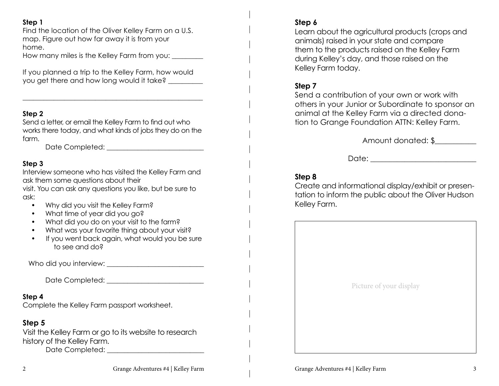#### **Step 1**

Find the location of the Oliver Kelley Farm on a U.S. map. Figure out how far away it is from your home.

How many miles is the Kelley Farm from you: \_\_\_\_\_\_\_\_\_

If you planned a trip to the Kelley Farm, how would you get there and how long would it take?

#### **Step 2**

Send a letter, or email the Kelley Farm to find out who works there today, and what kinds of jobs they do on the farm.

\_\_\_\_\_\_\_\_\_\_\_\_\_\_\_\_\_\_\_\_\_\_\_\_\_\_\_\_\_\_\_\_\_\_\_\_\_\_\_\_\_\_\_\_\_\_\_\_\_\_\_\_

Date Completed:  $\Box$ 

#### **Step 3**

Interview someone who has visited the Kelley Farm and ask them some questions about their visit. You can ask any questions you like, but be sure to ask:

- Why did you visit the Kelley Farm?
- What time of year did you go?
- What did you do on your visit to the farm?
- What was your favorite thing about your visit?
- If you went back again, what would you be sure to see and do?

Who did you interview: \_\_\_\_\_\_\_\_\_\_\_\_\_\_\_\_\_\_\_\_\_\_\_\_\_\_\_\_

Date Completed: \_\_\_\_\_\_\_\_\_\_\_\_\_\_\_\_\_\_\_\_\_\_\_\_\_\_\_\_

#### **Step 4**

Complete the Kelley Farm passport worksheet.

## **Step 5**

Visit the Kelley Farm or go to its website to research history of the Kelley Farm.

Date Completed:  $\Box$ 

## **Step 6**

Learn about the agricultural products (crops and animals) raised in your state and compare them to the products raised on the Kelley Farm during Kelley's day, and those raised on the Kelley Farm today.

## **Step 7**

Send a contribution of your own or work with others in your Junior or Subordinate to sponsor an animal at the Kelley Farm via a directed donation to Grange Foundation ATTN: Kelley Farm.

Amount donated: \$\_\_\_\_\_\_\_\_\_\_\_

Date: \_\_\_\_\_\_\_\_\_\_\_\_\_\_\_\_\_\_\_\_\_\_\_\_\_\_\_\_

## **Step 8**

Create and informational display/exhibit or presentation to inform the public about the Oliver Hudson Kelley Farm.